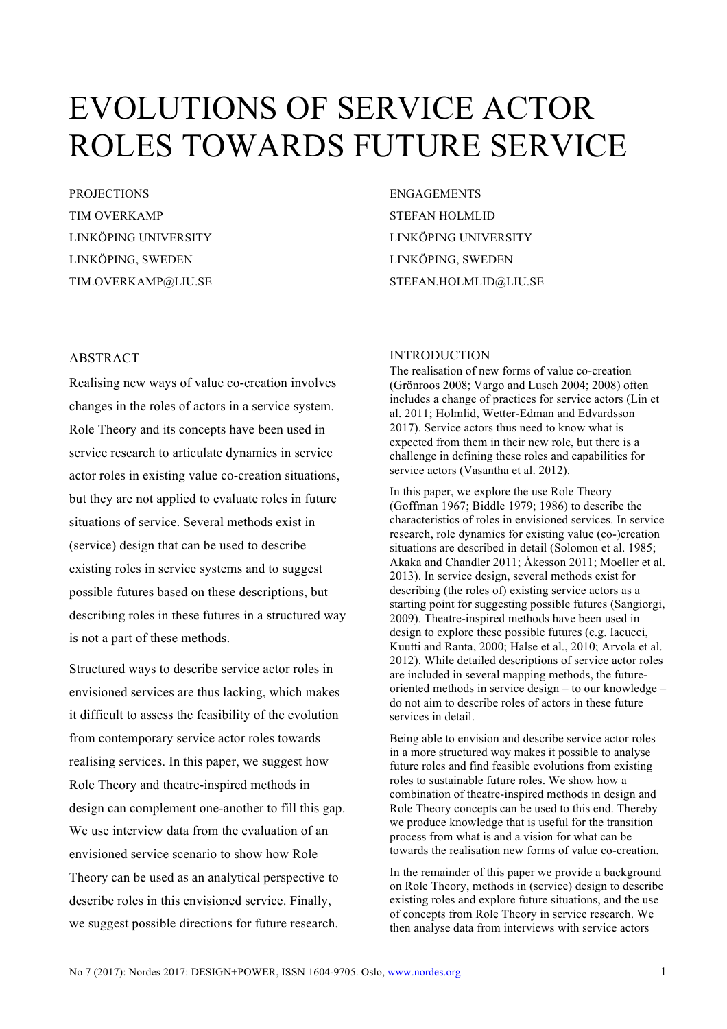# EVOLUTIONS OF SERVICE ACTOR ROLES TOWARDS FUTURE SERVICE

**PROJECTIONS** TIM OVERKAMP LINKÖPING UNIVERSITY LINKÖPING, SWEDEN TIM.OVERKAMP@LIU.SE

ENGAGEMENTS STEFAN HOLMLID LINKÖPING UNIVERSITY LINKÖPING, SWEDEN STEFAN.HOLMLID@LIU.SE

# ABSTRACT

Realising new ways of value co-creation involves changes in the roles of actors in a service system. Role Theory and its concepts have been used in service research to articulate dynamics in service actor roles in existing value co-creation situations, but they are not applied to evaluate roles in future situations of service. Several methods exist in (service) design that can be used to describe existing roles in service systems and to suggest possible futures based on these descriptions, but describing roles in these futures in a structured way is not a part of these methods.

Structured ways to describe service actor roles in envisioned services are thus lacking, which makes it difficult to assess the feasibility of the evolution from contemporary service actor roles towards realising services. In this paper, we suggest how Role Theory and theatre-inspired methods in design can complement one-another to fill this gap. We use interview data from the evaluation of an envisioned service scenario to show how Role Theory can be used as an analytical perspective to describe roles in this envisioned service. Finally, we suggest possible directions for future research.

# INTRODUCTION

The realisation of new forms of value co-creation (Grönroos 2008; Vargo and Lusch 2004; 2008) often includes a change of practices for service actors (Lin et al. 2011; Holmlid, Wetter-Edman and Edvardsson 2017). Service actors thus need to know what is expected from them in their new role, but there is a challenge in defining these roles and capabilities for service actors (Vasantha et al. 2012).

In this paper, we explore the use Role Theory (Goffman 1967; Biddle 1979; 1986) to describe the characteristics of roles in envisioned services. In service research, role dynamics for existing value (co-)creation situations are described in detail (Solomon et al. 1985; Akaka and Chandler 2011; Åkesson 2011; Moeller et al. 2013). In service design, several methods exist for describing (the roles of) existing service actors as a starting point for suggesting possible futures (Sangiorgi, 2009). Theatre-inspired methods have been used in design to explore these possible futures (e.g. Iacucci, Kuutti and Ranta, 2000; Halse et al., 2010; Arvola et al. 2012). While detailed descriptions of service actor roles are included in several mapping methods, the futureoriented methods in service design – to our knowledge – do not aim to describe roles of actors in these future services in detail.

Being able to envision and describe service actor roles in a more structured way makes it possible to analyse future roles and find feasible evolutions from existing roles to sustainable future roles. We show how a combination of theatre-inspired methods in design and Role Theory concepts can be used to this end. Thereby we produce knowledge that is useful for the transition process from what is and a vision for what can be towards the realisation new forms of value co-creation.

In the remainder of this paper we provide a background on Role Theory, methods in (service) design to describe existing roles and explore future situations, and the use of concepts from Role Theory in service research. We then analyse data from interviews with service actors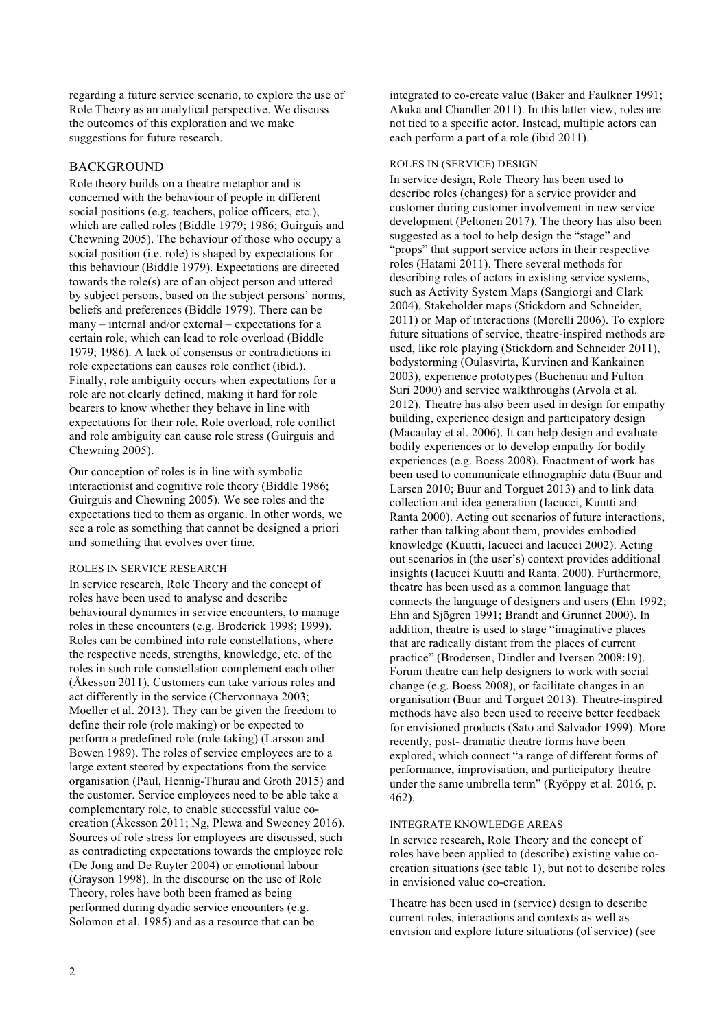regarding a future service scenario, to explore the use of Role Theory as an analytical perspective. We discuss the outcomes of this exploration and we make suggestions for future research.

# BACKGROUND

Role theory builds on a theatre metaphor and is concerned with the behaviour of people in different social positions (e.g. teachers, police officers, etc.), which are called roles (Biddle 1979; 1986; Guirguis and Chewning 2005). The behaviour of those who occupy a social position (i.e. role) is shaped by expectations for this behaviour (Biddle 1979). Expectations are directed towards the role(s) are of an object person and uttered by subject persons, based on the subject persons' norms, beliefs and preferences (Biddle 1979). There can be many – internal and/or external – expectations for a certain role, which can lead to role overload (Biddle 1979; 1986). A lack of consensus or contradictions in role expectations can causes role conflict (ibid.). Finally, role ambiguity occurs when expectations for a role are not clearly defined, making it hard for role bearers to know whether they behave in line with expectations for their role. Role overload, role conflict and role ambiguity can cause role stress (Guirguis and Chewning 2005).

Our conception of roles is in line with symbolic interactionist and cognitive role theory (Biddle 1986; Guirguis and Chewning 2005). We see roles and the expectations tied to them as organic. In other words, we see a role as something that cannot be designed a priori and something that evolves over time.

#### ROLES IN SERVICE RESEARCH

In service research, Role Theory and the concept of roles have been used to analyse and describe behavioural dynamics in service encounters, to manage roles in these encounters (e.g. Broderick 1998; 1999). Roles can be combined into role constellations, where the respective needs, strengths, knowledge, etc. of the roles in such role constellation complement each other (Åkesson 2011). Customers can take various roles and act differently in the service (Chervonnaya 2003; Moeller et al. 2013). They can be given the freedom to define their role (role making) or be expected to perform a predefined role (role taking) (Larsson and Bowen 1989). The roles of service employees are to a large extent steered by expectations from the service organisation (Paul, Hennig-Thurau and Groth 2015) and the customer. Service employees need to be able take a complementary role, to enable successful value cocreation (Åkesson 2011; Ng, Plewa and Sweeney 2016). Sources of role stress for employees are discussed, such as contradicting expectations towards the employee role (De Jong and De Ruyter 2004) or emotional labour (Grayson 1998). In the discourse on the use of Role Theory, roles have both been framed as being performed during dyadic service encounters (e.g. Solomon et al. 1985) and as a resource that can be

integrated to co-create value (Baker and Faulkner 1991; Akaka and Chandler 2011). In this latter view, roles are not tied to a specific actor. Instead, multiple actors can each perform a part of a role (ibid 2011).

#### ROLES IN (SERVICE) DESIGN

In service design, Role Theory has been used to describe roles (changes) for a service provider and customer during customer involvement in new service development (Peltonen 2017). The theory has also been suggested as a tool to help design the "stage" and "props" that support service actors in their respective roles (Hatami 2011). There several methods for describing roles of actors in existing service systems, such as Activity System Maps (Sangiorgi and Clark 2004), Stakeholder maps (Stickdorn and Schneider, 2011) or Map of interactions (Morelli 2006). To explore future situations of service, theatre-inspired methods are used, like role playing (Stickdorn and Schneider 2011), bodystorming (Oulasvirta, Kurvinen and Kankainen 2003), experience prototypes (Buchenau and Fulton Suri 2000) and service walkthroughs (Arvola et al. 2012). Theatre has also been used in design for empathy building, experience design and participatory design (Macaulay et al. 2006). It can help design and evaluate bodily experiences or to develop empathy for bodily experiences (e.g. Boess 2008). Enactment of work has been used to communicate ethnographic data (Buur and Larsen 2010; Buur and Torguet 2013) and to link data collection and idea generation (Iacucci, Kuutti and Ranta 2000). Acting out scenarios of future interactions, rather than talking about them, provides embodied knowledge (Kuutti, Iacucci and Iacucci 2002). Acting out scenarios in (the user's) context provides additional insights (Iacucci Kuutti and Ranta. 2000). Furthermore, theatre has been used as a common language that connects the language of designers and users (Ehn 1992; Ehn and Sjögren 1991; Brandt and Grunnet 2000). In addition, theatre is used to stage "imaginative places that are radically distant from the places of current practice" (Brodersen, Dindler and Iversen 2008:19). Forum theatre can help designers to work with social change (e.g. Boess 2008), or facilitate changes in an organisation (Buur and Torguet 2013). Theatre-inspired methods have also been used to receive better feedback for envisioned products (Sato and Salvador 1999). More recently, post- dramatic theatre forms have been explored, which connect "a range of different forms of performance, improvisation, and participatory theatre under the same umbrella term" (Ryöppy et al. 2016, p. 462).

#### INTEGRATE KNOWLEDGE AREAS

In service research, Role Theory and the concept of roles have been applied to (describe) existing value cocreation situations (see table 1), but not to describe roles in envisioned value co-creation.

Theatre has been used in (service) design to describe current roles, interactions and contexts as well as envision and explore future situations (of service) (see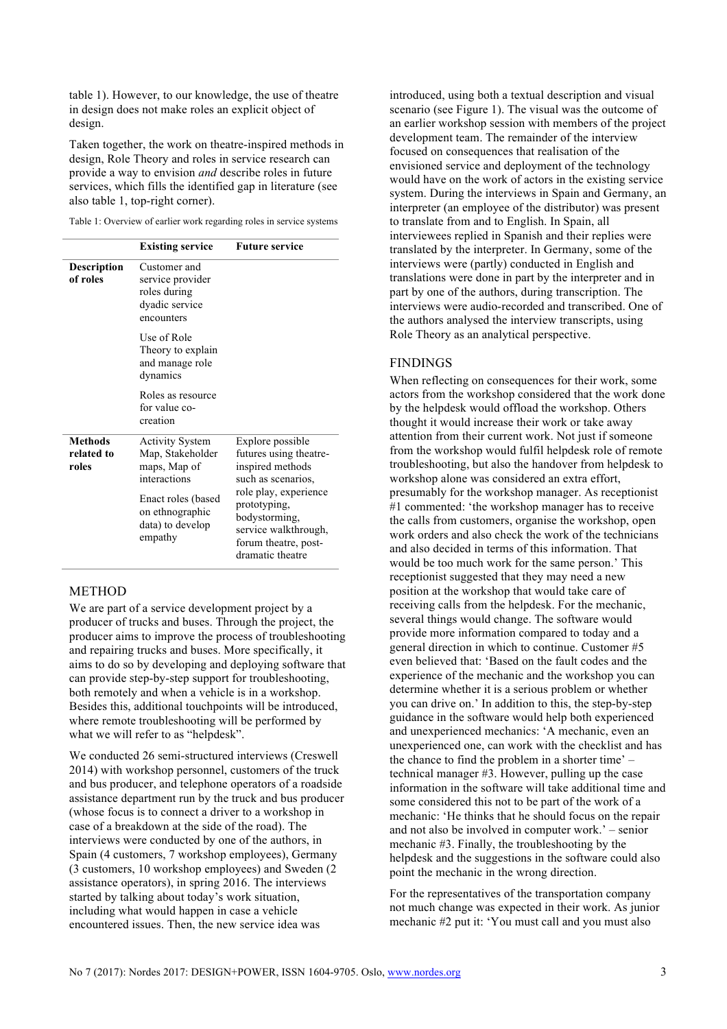table 1). However, to our knowledge, the use of theatre in design does not make roles an explicit object of design.

Taken together, the work on theatre-inspired methods in design, Role Theory and roles in service research can provide a way to envision *and* describe roles in future services, which fills the identified gap in literature (see also table 1, top-right corner).

Table 1: Overview of earlier work regarding roles in service systems

|                                       | <b>Existing service</b>                                                                                                                            | <b>Future service</b>                                                                                                                                                                                              |  |  |  |  |
|---------------------------------------|----------------------------------------------------------------------------------------------------------------------------------------------------|--------------------------------------------------------------------------------------------------------------------------------------------------------------------------------------------------------------------|--|--|--|--|
| <b>Description</b><br>of roles        | Customer and<br>service provider<br>roles during<br>dyadic service<br>encounters                                                                   |                                                                                                                                                                                                                    |  |  |  |  |
|                                       | Use of Role<br>Theory to explain<br>and manage role<br>dynamics                                                                                    |                                                                                                                                                                                                                    |  |  |  |  |
|                                       | Roles as resource<br>for value co-<br>creation                                                                                                     |                                                                                                                                                                                                                    |  |  |  |  |
| <b>Methods</b><br>related to<br>roles | <b>Activity System</b><br>Map, Stakeholder<br>maps, Map of<br>interactions<br>Enact roles (based<br>on ethnographic<br>data) to develop<br>empathy | Explore possible<br>futures using theatre-<br>inspired methods<br>such as scenarios,<br>role play, experience<br>prototyping,<br>bodystorming,<br>service walkthrough,<br>forum theatre, post-<br>dramatic theatre |  |  |  |  |

#### METHOD

We are part of a service development project by a producer of trucks and buses. Through the project, the producer aims to improve the process of troubleshooting and repairing trucks and buses. More specifically, it aims to do so by developing and deploying software that can provide step-by-step support for troubleshooting, both remotely and when a vehicle is in a workshop. Besides this, additional touchpoints will be introduced, where remote troubleshooting will be performed by what we will refer to as "helpdesk".

We conducted 26 semi-structured interviews (Creswell 2014) with workshop personnel, customers of the truck and bus producer, and telephone operators of a roadside assistance department run by the truck and bus producer (whose focus is to connect a driver to a workshop in case of a breakdown at the side of the road). The interviews were conducted by one of the authors, in Spain (4 customers, 7 workshop employees), Germany (3 customers, 10 workshop employees) and Sweden (2 assistance operators), in spring 2016. The interviews started by talking about today's work situation, including what would happen in case a vehicle encountered issues. Then, the new service idea was

introduced, using both a textual description and visual scenario (see Figure 1). The visual was the outcome of an earlier workshop session with members of the project development team. The remainder of the interview focused on consequences that realisation of the envisioned service and deployment of the technology would have on the work of actors in the existing service system. During the interviews in Spain and Germany, an interpreter (an employee of the distributor) was present to translate from and to English. In Spain, all interviewees replied in Spanish and their replies were translated by the interpreter. In Germany, some of the interviews were (partly) conducted in English and translations were done in part by the interpreter and in part by one of the authors, during transcription. The interviews were audio-recorded and transcribed. One of the authors analysed the interview transcripts, using Role Theory as an analytical perspective.

# FINDINGS

When reflecting on consequences for their work, some actors from the workshop considered that the work done by the helpdesk would offload the workshop. Others thought it would increase their work or take away attention from their current work. Not just if someone from the workshop would fulfil helpdesk role of remote troubleshooting, but also the handover from helpdesk to workshop alone was considered an extra effort, presumably for the workshop manager. As receptionist #1 commented: 'the workshop manager has to receive the calls from customers, organise the workshop, open work orders and also check the work of the technicians and also decided in terms of this information. That would be too much work for the same person.' This receptionist suggested that they may need a new position at the workshop that would take care of receiving calls from the helpdesk. For the mechanic, several things would change. The software would provide more information compared to today and a general direction in which to continue. Customer #5 even believed that: 'Based on the fault codes and the experience of the mechanic and the workshop you can determine whether it is a serious problem or whether you can drive on.' In addition to this, the step-by-step guidance in the software would help both experienced and unexperienced mechanics: 'A mechanic, even an unexperienced one, can work with the checklist and has the chance to find the problem in a shorter time' – technical manager #3. However, pulling up the case information in the software will take additional time and some considered this not to be part of the work of a mechanic: 'He thinks that he should focus on the repair and not also be involved in computer work.' – senior mechanic #3. Finally, the troubleshooting by the helpdesk and the suggestions in the software could also point the mechanic in the wrong direction.

For the representatives of the transportation company not much change was expected in their work. As junior mechanic #2 put it: 'You must call and you must also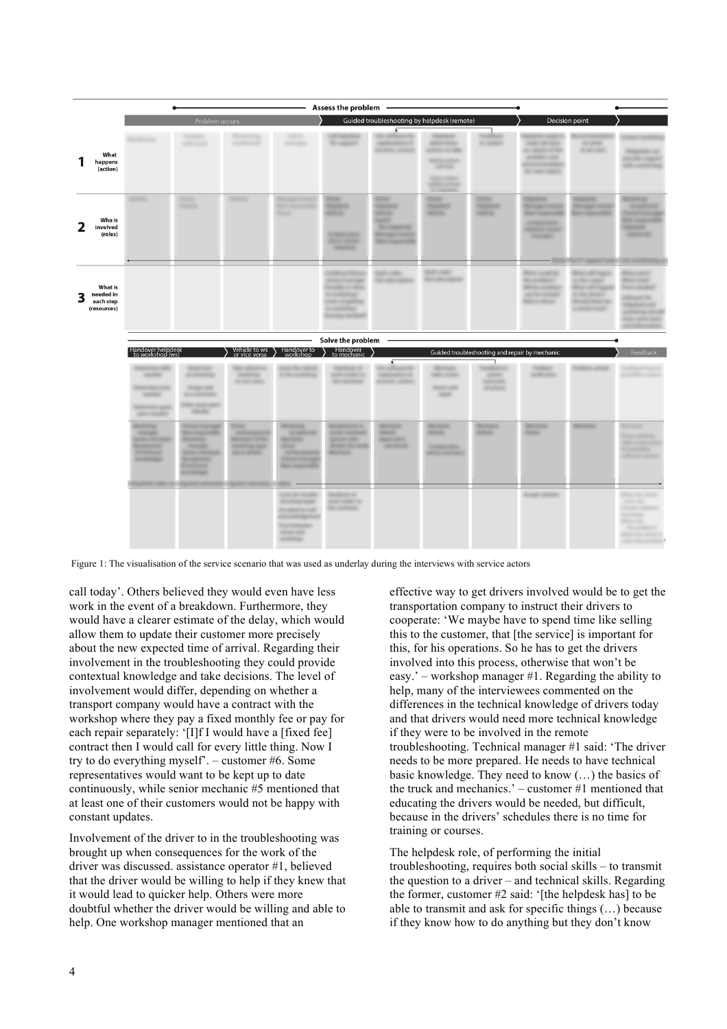| <b>Assess the problem</b>                                    |                                                                                                                                                      |                                                                                                                                                                                           |                                                                                                                         |                                                                                                                                                                           |                                                                                                                                        |                                                                                                                        |                                                                                                                                                 |                                                     |                                                                                                                                                                            |                                                                                                            |                                                                                                                                                                |  |
|--------------------------------------------------------------|------------------------------------------------------------------------------------------------------------------------------------------------------|-------------------------------------------------------------------------------------------------------------------------------------------------------------------------------------------|-------------------------------------------------------------------------------------------------------------------------|---------------------------------------------------------------------------------------------------------------------------------------------------------------------------|----------------------------------------------------------------------------------------------------------------------------------------|------------------------------------------------------------------------------------------------------------------------|-------------------------------------------------------------------------------------------------------------------------------------------------|-----------------------------------------------------|----------------------------------------------------------------------------------------------------------------------------------------------------------------------------|------------------------------------------------------------------------------------------------------------|----------------------------------------------------------------------------------------------------------------------------------------------------------------|--|
|                                                              | Problem occurs                                                                                                                                       |                                                                                                                                                                                           |                                                                                                                         |                                                                                                                                                                           | Guided troubleshooting by helpdesk (remote)                                                                                            |                                                                                                                        |                                                                                                                                                 |                                                     | Decision point                                                                                                                                                             |                                                                                                            |                                                                                                                                                                |  |
| What<br>happens<br>(action)                                  | <b><i><u>ROSECTION</u></i></b>                                                                                                                       | <b>SHIP county</b>                                                                                                                                                                        |                                                                                                                         | <b>SOFTWARE</b>                                                                                                                                                           | <b>SCIENCE</b>                                                                                                                         | €<br><b><i>INSTRUCTION CALLS</i></b><br><b>SCHOOL SCHOOL</b>                                                           | <b>Miller Company</b><br>check to the<br><b>SERVICE CORPORA</b><br><b>SERVICE</b><br><b>TEMPORATE</b><br><b>GERMANY WEEK</b><br>the property of | <b>Brigaden</b>                                     | <b>CARD MOVEMENT</b><br>to subside of the<br>and the United<br><b>ECONOMIC REPORT</b><br><b>Brown reads</b>                                                                | <b>SECURITY</b><br><b>SCALE CARD</b>                                                                       | <b>PERSONAL CAR</b><br><b>ANTIQUE VALUES</b><br>and competiting                                                                                                |  |
| Who is<br>involved<br>(roles)                                | <b>SERVICE</b>                                                                                                                                       | <b>Shiran</b><br><b>SHOP</b>                                                                                                                                                              | <b>SERVIE</b>                                                                                                           | <b>Sales of</b><br><b>Roomagan</b><br><b>Book Street</b><br>فتناه<br><b>DOM:</b>                                                                                          | <b>Black</b><br><b>Harakana</b><br><b>MAGE</b><br><b>CONTRACTOR</b><br><b>Right service</b><br><b>HELENE</b>                           | <b>House</b><br><b>Haraka</b><br><b>Sport</b><br><b>By Stewart</b><br><b>Benedict Henrico</b><br><b>Real Associate</b> | <b>Black</b><br><b>TELEVISION</b><br><b>SERVICE</b>                                                                                             | <b>Hillery</b><br><b>HEARING</b><br><b>SERVICE</b>  | <b><i><u>START OF START OF GROSS</u></i></b><br><b>Brown control</b><br><b>Retrieved Avenue</b><br><b>TORONTOWN</b><br><b>HEARING CREATE</b><br><b>CONTRACT</b><br>$-1000$ | <b><i><u>SHARRASH</u></i></b><br><b>Recognizione</b><br><b>REPAIRING COMPANY</b>                           | <b>ROSECTION</b><br><b>SENSITE</b><br><b>REAL FIRE</b><br><b>Room Street</b><br><b>HEARTH</b><br><b>SERVICE</b>                                                |  |
| <b>What is</b><br>needed in<br>3<br>each step<br>(resources) |                                                                                                                                                      |                                                                                                                                                                                           |                                                                                                                         |                                                                                                                                                                           | $\sim$<br><b>ANTIQUE TRANSVERS</b><br><b>CONTRACTOR</b><br><b>CONTRACT</b><br><b>CONTRACTOR</b><br><b>COMPANY</b><br><b>CONTRACTOR</b> | <b>SAFE</b><br><b>SHEET</b><br><b>SOUTHERN</b>                                                                         | <b>SOFTWARE</b><br><b>Secretary residents</b>                                                                                                   |                                                     | mar<br><b>GARCIER</b><br><b>The constitution</b><br><b>Mission and Mary</b><br>car the subset<br><b>REAL ARRANGE</b>                                                       | . .<br>a the count<br><b>Brand off County</b><br>to the street.<br><b>Book Harris</b><br><b>CARD COURT</b> | <br><b>Blue look</b><br><b>TOO SHORES</b><br><b><i>CONSTRUCTION</i></b><br><b>COLORADO AND</b><br>politicizing chief<br><b>THE GREATER</b><br>and other cases. |  |
|                                                              |                                                                                                                                                      |                                                                                                                                                                                           |                                                                                                                         |                                                                                                                                                                           | Solve the problem                                                                                                                      |                                                                                                                        |                                                                                                                                                 |                                                     |                                                                                                                                                                            |                                                                                                            |                                                                                                                                                                |  |
|                                                              | Handover helpdesk<br>to workshop (ws)                                                                                                                |                                                                                                                                                                                           | Vehicle to ws<br>or vice versa                                                                                          | Handover to<br>workshop                                                                                                                                                   | Handover<br>to mechanic                                                                                                                | €                                                                                                                      |                                                                                                                                                 | Guided troubleshooting and repair by mechanic<br>ı  |                                                                                                                                                                            |                                                                                                            | Feedback                                                                                                                                                       |  |
|                                                              | <b>HORACE</b><br><b>RECORDS TOOL</b><br><b>SHOW:</b><br><b>PERSONAL GRAN</b><br>ant series                                                           | <b>SOUTH PARTS</b><br><b>Windows</b><br><b>START THE</b><br><b>British Market Bay</b><br><b>THE SHOP AND</b><br><b>SERVICE</b>                                                            | <b>HORNER</b><br>an age and                                                                                             | Life soldiers.                                                                                                                                                            | <b>SOR CARD IN</b><br><b>Biometrical</b>                                                                                               | <b>REPORT OF</b><br><b>ROOM CARDS</b>                                                                                  | <b>SEARCHER</b><br><b>SECURITY</b><br><b>TORONTO AND</b><br><b>Harry</b>                                                                        | <b>SERVICE</b><br><b>SOFTWARE</b><br><b>Windows</b> | <b>TOURIST</b><br>and one                                                                                                                                                  |                                                                                                            | and a children continue.                                                                                                                                       |  |
|                                                              | <b><i><u>CONTERN</u></i></b><br><b>TOTALS!</b><br><b>AND CONTRACT</b><br><b>CONTRACTOR</b><br><b>Parmers</b><br><b>ROOM FOR</b><br><b>CONTRACTOR</b> | <b>SOUTH CONTRACT</b><br><b>Recognized</b><br><b>ROSENTAL</b><br><b>CONSULTANT</b><br><b>SERVICE CONTROL</b><br><b><i><u>Systematics</u></i></b><br><b>Card Avenue</b><br><b>CONTRACT</b> | <b>British</b><br><b>SERVICE AND REAL PROPERTY</b><br><b>Billiam Willia</b><br><b>ANTIQUE ARE</b><br><b>MOTOR START</b> | <b>ROSENIA</b><br><b>START</b><br><b>BEFORE</b><br><b>START</b><br><b>SERVICE CONTROL</b><br><b><i><u>STATE CARDS</u></i></b><br><b>Bar manufacturer</b>                  | <b><i><u>Systematics</u></i></b><br><b>ANGEL CARDSHIP</b><br><b>SERVICE CARDS</b><br><b>Broad of the country</b><br><b>Borner</b>      | <b>Mariners</b><br><b>SERVICE</b><br><b>SERVICES</b><br><b>SERVICE CONTROL</b>                                         | <b>Machinery</b><br><b>SERVICE</b><br><b>TORONTO</b><br><b>AND CONTRACT</b>                                                                     | <b>Bookland</b><br><b>HELE</b>                      | <b>Biologica</b><br><b>House</b>                                                                                                                                           | <b>Manager</b>                                                                                             | <b>Roman</b><br><b>The Contract Contract</b><br>all commercial<br><b>Property</b><br>alliance space                                                            |  |
|                                                              |                                                                                                                                                      |                                                                                                                                                                                           |                                                                                                                         | <b>CARL OF THE ART</b><br><b>Roomspread</b><br><b><i><u>STARTING OFFICE</u></i></b><br><b>ROOM BETWEEN</b><br><b>Tour Services</b><br><b>STATE AND</b><br><b>ANTIQUES</b> | <b>TOO AND AND AND</b><br><b>SOUTH CARD COLD</b><br>the reactions:                                                                     |                                                                                                                        |                                                                                                                                                 |                                                     | <b>Broad Gallery</b>                                                                                                                                                       |                                                                                                            | <b>STAN COL</b><br><b>START CARDS</b><br><b>Thought call</b><br>controlled by<br><b>START SER</b><br>The artisticated<br>Miller was shown to                   |  |

Figure 1: The visualisation of the service scenario that was used as underlay during the interviews with service actors

call today'. Others believed they would even have less work in the event of a breakdown. Furthermore, they would have a clearer estimate of the delay, which would allow them to update their customer more precisely about the new expected time of arrival. Regarding their involvement in the troubleshooting they could provide contextual knowledge and take decisions. The level of involvement would differ, depending on whether a transport company would have a contract with the workshop where they pay a fixed monthly fee or pay for each repair separately: '[I]f I would have a [fixed fee] contract then I would call for every little thing. Now I try to do everything myself'. – customer #6. Some representatives would want to be kept up to date continuously, while senior mechanic #5 mentioned that at least one of their customers would not be happy with constant updates.

Involvement of the driver to in the troubleshooting was brought up when consequences for the work of the driver was discussed. assistance operator #1, believed that the driver would be willing to help if they knew that it would lead to quicker help. Others were more doubtful whether the driver would be willing and able to help. One workshop manager mentioned that an

effective way to get drivers involved would be to get the transportation company to instruct their drivers to cooperate: 'We maybe have to spend time like selling this to the customer, that [the service] is important for this, for his operations. So he has to get the drivers involved into this process, otherwise that won't be easy.' – workshop manager #1. Regarding the ability to help, many of the interviewees commented on the differences in the technical knowledge of drivers today and that drivers would need more technical knowledge if they were to be involved in the remote troubleshooting. Technical manager #1 said: 'The driver needs to be more prepared. He needs to have technical basic knowledge. They need to know (…) the basics of the truck and mechanics.' – customer #1 mentioned that educating the drivers would be needed, but difficult, because in the drivers' schedules there is no time for training or courses.

The helpdesk role, of performing the initial troubleshooting, requires both social skills – to transmit the question to a driver – and technical skills. Regarding the former, customer #2 said: '[the helpdesk has] to be able to transmit and ask for specific things (…) because if they know how to do anything but they don't know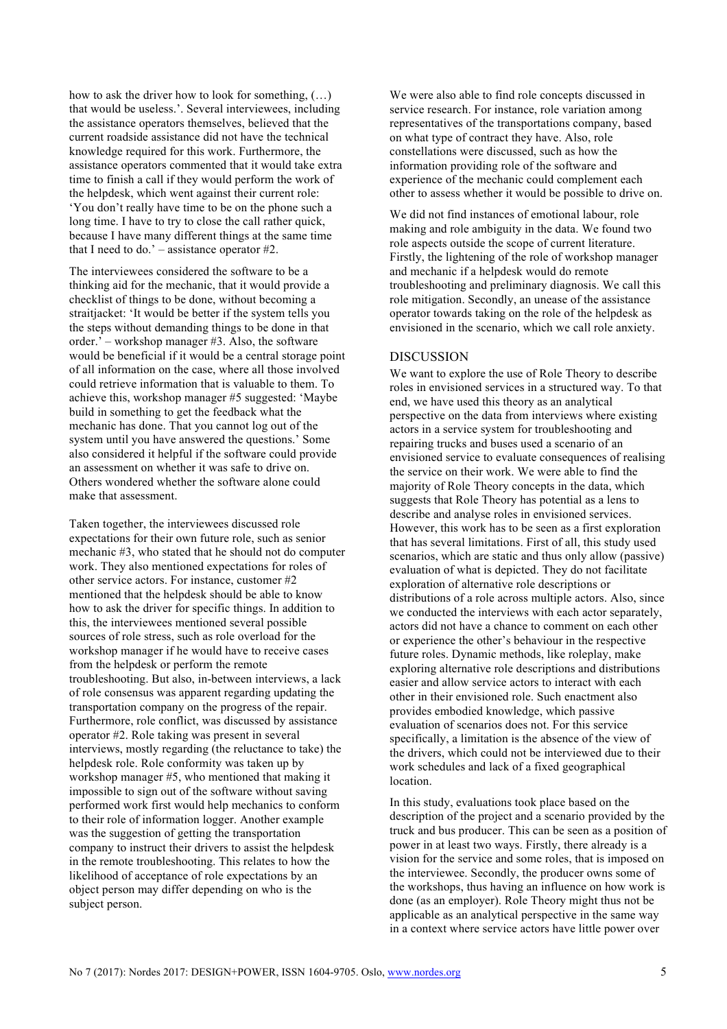how to ask the driver how to look for something, (…) that would be useless.'. Several interviewees, including the assistance operators themselves, believed that the current roadside assistance did not have the technical knowledge required for this work. Furthermore, the assistance operators commented that it would take extra time to finish a call if they would perform the work of the helpdesk, which went against their current role: 'You don't really have time to be on the phone such a long time. I have to try to close the call rather quick, because I have many different things at the same time that I need to do.' – assistance operator #2.

The interviewees considered the software to be a thinking aid for the mechanic, that it would provide a checklist of things to be done, without becoming a straitiacket: 'It would be better if the system tells you the steps without demanding things to be done in that order.' – workshop manager #3. Also, the software would be beneficial if it would be a central storage point of all information on the case, where all those involved could retrieve information that is valuable to them. To achieve this, workshop manager #5 suggested: 'Maybe build in something to get the feedback what the mechanic has done. That you cannot log out of the system until you have answered the questions.' Some also considered it helpful if the software could provide an assessment on whether it was safe to drive on. Others wondered whether the software alone could make that assessment.

Taken together, the interviewees discussed role expectations for their own future role, such as senior mechanic #3, who stated that he should not do computer work. They also mentioned expectations for roles of other service actors. For instance, customer #2 mentioned that the helpdesk should be able to know how to ask the driver for specific things. In addition to this, the interviewees mentioned several possible sources of role stress, such as role overload for the workshop manager if he would have to receive cases from the helpdesk or perform the remote troubleshooting. But also, in-between interviews, a lack of role consensus was apparent regarding updating the transportation company on the progress of the repair. Furthermore, role conflict, was discussed by assistance operator #2. Role taking was present in several interviews, mostly regarding (the reluctance to take) the helpdesk role. Role conformity was taken up by workshop manager #5, who mentioned that making it impossible to sign out of the software without saving performed work first would help mechanics to conform to their role of information logger. Another example was the suggestion of getting the transportation company to instruct their drivers to assist the helpdesk in the remote troubleshooting. This relates to how the likelihood of acceptance of role expectations by an object person may differ depending on who is the subject person.

We were also able to find role concepts discussed in service research. For instance, role variation among representatives of the transportations company, based on what type of contract they have. Also, role constellations were discussed, such as how the information providing role of the software and experience of the mechanic could complement each other to assess whether it would be possible to drive on.

We did not find instances of emotional labour, role making and role ambiguity in the data. We found two role aspects outside the scope of current literature. Firstly, the lightening of the role of workshop manager and mechanic if a helpdesk would do remote troubleshooting and preliminary diagnosis. We call this role mitigation. Secondly, an unease of the assistance operator towards taking on the role of the helpdesk as envisioned in the scenario, which we call role anxiety.

#### **DISCUSSION**

We want to explore the use of Role Theory to describe roles in envisioned services in a structured way. To that end, we have used this theory as an analytical perspective on the data from interviews where existing actors in a service system for troubleshooting and repairing trucks and buses used a scenario of an envisioned service to evaluate consequences of realising the service on their work. We were able to find the majority of Role Theory concepts in the data, which suggests that Role Theory has potential as a lens to describe and analyse roles in envisioned services. However, this work has to be seen as a first exploration that has several limitations. First of all, this study used scenarios, which are static and thus only allow (passive) evaluation of what is depicted. They do not facilitate exploration of alternative role descriptions or distributions of a role across multiple actors. Also, since we conducted the interviews with each actor separately, actors did not have a chance to comment on each other or experience the other's behaviour in the respective future roles. Dynamic methods, like roleplay, make exploring alternative role descriptions and distributions easier and allow service actors to interact with each other in their envisioned role. Such enactment also provides embodied knowledge, which passive evaluation of scenarios does not. For this service specifically, a limitation is the absence of the view of the drivers, which could not be interviewed due to their work schedules and lack of a fixed geographical location.

In this study, evaluations took place based on the description of the project and a scenario provided by the truck and bus producer. This can be seen as a position of power in at least two ways. Firstly, there already is a vision for the service and some roles, that is imposed on the interviewee. Secondly, the producer owns some of the workshops, thus having an influence on how work is done (as an employer). Role Theory might thus not be applicable as an analytical perspective in the same way in a context where service actors have little power over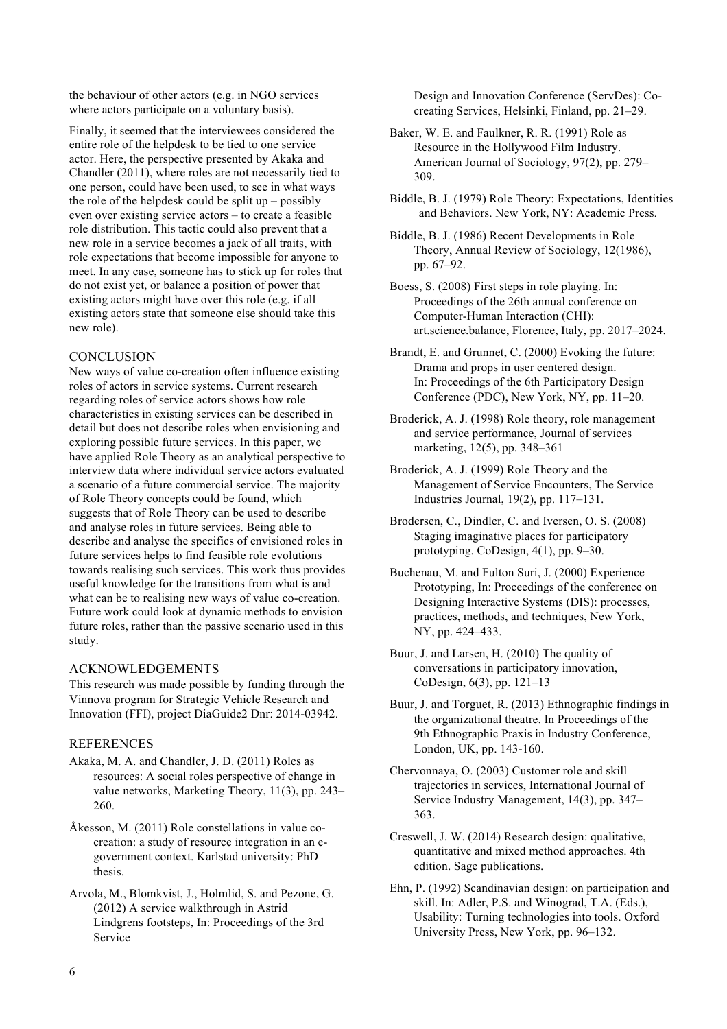the behaviour of other actors (e.g. in NGO services where actors participate on a voluntary basis).

Finally, it seemed that the interviewees considered the entire role of the helpdesk to be tied to one service actor. Here, the perspective presented by Akaka and Chandler (2011), where roles are not necessarily tied to one person, could have been used, to see in what ways the role of the helpdesk could be split up – possibly even over existing service actors – to create a feasible role distribution. This tactic could also prevent that a new role in a service becomes a jack of all traits, with role expectations that become impossible for anyone to meet. In any case, someone has to stick up for roles that do not exist yet, or balance a position of power that existing actors might have over this role (e.g. if all existing actors state that someone else should take this new role).

# **CONCLUSION**

New ways of value co-creation often influence existing roles of actors in service systems. Current research regarding roles of service actors shows how role characteristics in existing services can be described in detail but does not describe roles when envisioning and exploring possible future services. In this paper, we have applied Role Theory as an analytical perspective to interview data where individual service actors evaluated a scenario of a future commercial service. The majority of Role Theory concepts could be found, which suggests that of Role Theory can be used to describe and analyse roles in future services. Being able to describe and analyse the specifics of envisioned roles in future services helps to find feasible role evolutions towards realising such services. This work thus provides useful knowledge for the transitions from what is and what can be to realising new ways of value co-creation. Future work could look at dynamic methods to envision future roles, rather than the passive scenario used in this study.

#### ACKNOWLEDGEMENTS

This research was made possible by funding through the Vinnova program for Strategic Vehicle Research and Innovation (FFI), project DiaGuide2 Dnr: 2014-03942.

# **REFERENCES**

- Akaka, M. A. and Chandler, J. D. (2011) Roles as resources: A social roles perspective of change in value networks, Marketing Theory, 11(3), pp. 243– 260.
- Åkesson, M. (2011) Role constellations in value cocreation: a study of resource integration in an egovernment context. Karlstad university: PhD thesis.
- Arvola, M., Blomkvist, J., Holmlid, S. and Pezone, G. (2012) A service walkthrough in Astrid Lindgrens footsteps, In: Proceedings of the 3rd Service

Design and Innovation Conference (ServDes): Cocreating Services, Helsinki, Finland, pp. 21–29.

- Baker, W. E. and Faulkner, R. R. (1991) Role as Resource in the Hollywood Film Industry. American Journal of Sociology, 97(2), pp. 279– 309.
- Biddle, B. J. (1979) Role Theory: Expectations, Identities and Behaviors. New York, NY: Academic Press.
- Biddle, B. J. (1986) Recent Developments in Role Theory, Annual Review of Sociology, 12(1986), pp. 67–92.

Boess, S. (2008) First steps in role playing. In: Proceedings of the 26th annual conference on Computer-Human Interaction (CHI): art.science.balance, Florence, Italy, pp. 2017–2024.

Brandt, E. and Grunnet, C. (2000) Evoking the future: Drama and props in user centered design. In: Proceedings of the 6th Participatory Design Conference (PDC), New York, NY, pp. 11–20.

Broderick, A. J. (1998) Role theory, role management and service performance, Journal of services marketing, 12(5), pp. 348–361

Broderick, A. J. (1999) Role Theory and the Management of Service Encounters, The Service Industries Journal, 19(2), pp. 117–131.

Brodersen, C., Dindler, C. and Iversen, O. S. (2008) Staging imaginative places for participatory prototyping. CoDesign, 4(1), pp. 9–30.

Buchenau, M. and Fulton Suri, J. (2000) Experience Prototyping, In: Proceedings of the conference on Designing Interactive Systems (DIS): processes, practices, methods, and techniques, New York, NY, pp. 424–433.

Buur, J. and Larsen, H. (2010) The quality of conversations in participatory innovation, CoDesign, 6(3), pp. 121–13

- Buur, J. and Torguet, R. (2013) Ethnographic findings in the organizational theatre. In Proceedings of the 9th Ethnographic Praxis in Industry Conference, London, UK, pp. 143-160.
- Chervonnaya, O. (2003) Customer role and skill trajectories in services, International Journal of Service Industry Management, 14(3), pp. 347– 363.
- Creswell, J. W. (2014) Research design: qualitative, quantitative and mixed method approaches. 4th edition. Sage publications.
- Ehn, P. (1992) Scandinavian design: on participation and skill. In: Adler, P.S. and Winograd, T.A. (Eds.), Usability: Turning technologies into tools. Oxford University Press, New York, pp. 96–132.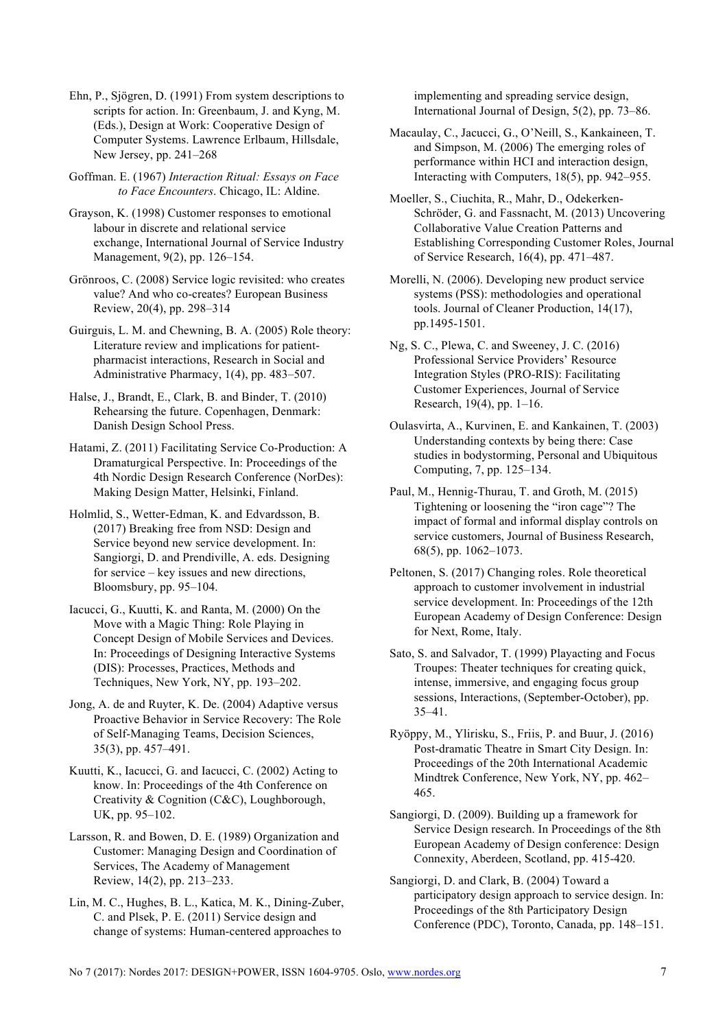Ehn, P., Sjögren, D. (1991) From system descriptions to scripts for action. In: Greenbaum, J. and Kyng, M. (Eds.), Design at Work: Cooperative Design of Computer Systems. Lawrence Erlbaum, Hillsdale, New Jersey, pp. 241–268

Goffman. E. (1967) *Interaction Ritual: Essays on Face to Face Encounters*. Chicago, IL: Aldine.

Grayson, K. (1998) Customer responses to emotional labour in discrete and relational service exchange, International Journal of Service Industry Management, 9(2), pp. 126–154.

Grönroos, C. (2008) Service logic revisited: who creates value? And who co-creates? European Business Review, 20(4), pp. 298–314

Guirguis, L. M. and Chewning, B. A. (2005) Role theory: Literature review and implications for patientpharmacist interactions, Research in Social and Administrative Pharmacy, 1(4), pp. 483–507.

Halse, J., Brandt, E., Clark, B. and Binder, T. (2010) Rehearsing the future. Copenhagen, Denmark: Danish Design School Press.

Hatami, Z. (2011) Facilitating Service Co-Production: A Dramaturgical Perspective. In: Proceedings of the 4th Nordic Design Research Conference (NorDes): Making Design Matter, Helsinki, Finland.

Holmlid, S., Wetter-Edman, K. and Edvardsson, B. (2017) Breaking free from NSD: Design and Service beyond new service development. In: Sangiorgi, D. and Prendiville, A. eds. Designing for service – key issues and new directions, Bloomsbury, pp. 95–104.

Iacucci, G., Kuutti, K. and Ranta, M. (2000) On the Move with a Magic Thing: Role Playing in Concept Design of Mobile Services and Devices. In: Proceedings of Designing Interactive Systems (DIS): Processes, Practices, Methods and Techniques, New York, NY, pp. 193–202.

Jong, A. de and Ruyter, K. De. (2004) Adaptive versus Proactive Behavior in Service Recovery: The Role of Self-Managing Teams, Decision Sciences, 35(3), pp. 457–491.

Kuutti, K., Iacucci, G. and Iacucci, C. (2002) Acting to know. In: Proceedings of the 4th Conference on Creativity & Cognition (C&C), Loughborough, UK, pp. 95–102.

Larsson, R. and Bowen, D. E. (1989) Organization and Customer: Managing Design and Coordination of Services, The Academy of Management Review, 14(2), pp. 213–233.

Lin, M. C., Hughes, B. L., Katica, M. K., Dining-Zuber, C. and Plsek, P. E. (2011) Service design and change of systems: Human-centered approaches to

implementing and spreading service design, International Journal of Design, 5(2), pp. 73–86.

Macaulay, C., Jacucci, G., O'Neill, S., Kankaineen, T. and Simpson, M. (2006) The emerging roles of performance within HCI and interaction design, Interacting with Computers, 18(5), pp. 942–955.

Moeller, S., Ciuchita, R., Mahr, D., Odekerken-Schröder, G. and Fassnacht, M. (2013) Uncovering Collaborative Value Creation Patterns and Establishing Corresponding Customer Roles, Journal of Service Research, 16(4), pp. 471–487.

Morelli, N. (2006). Developing new product service systems (PSS): methodologies and operational tools. Journal of Cleaner Production, 14(17), pp.1495-1501.

Ng, S. C., Plewa, C. and Sweeney, J. C. (2016) Professional Service Providers' Resource Integration Styles (PRO-RIS): Facilitating Customer Experiences, Journal of Service Research, 19(4), pp. 1–16.

Oulasvirta, A., Kurvinen, E. and Kankainen, T. (2003) Understanding contexts by being there: Case studies in bodystorming, Personal and Ubiquitous Computing, 7, pp. 125–134.

Paul, M., Hennig-Thurau, T. and Groth, M. (2015) Tightening or loosening the "iron cage"? The impact of formal and informal display controls on service customers, Journal of Business Research, 68(5), pp. 1062–1073.

Peltonen, S. (2017) Changing roles. Role theoretical approach to customer involvement in industrial service development. In: Proceedings of the 12th European Academy of Design Conference: Design for Next, Rome, Italy.

Sato, S. and Salvador, T. (1999) Playacting and Focus Troupes: Theater techniques for creating quick, intense, immersive, and engaging focus group sessions, Interactions, (September-October), pp. 35–41.

Ryöppy, M., Ylirisku, S., Friis, P. and Buur, J. (2016) Post-dramatic Theatre in Smart City Design. In: Proceedings of the 20th International Academic Mindtrek Conference, New York, NY, pp. 462– 465.

Sangiorgi, D. (2009). Building up a framework for Service Design research. In Proceedings of the 8th European Academy of Design conference: Design Connexity, Aberdeen, Scotland, pp. 415-420.

Sangiorgi, D. and Clark, B. (2004) Toward a participatory design approach to service design. In: Proceedings of the 8th Participatory Design Conference (PDC), Toronto, Canada, pp. 148–151.